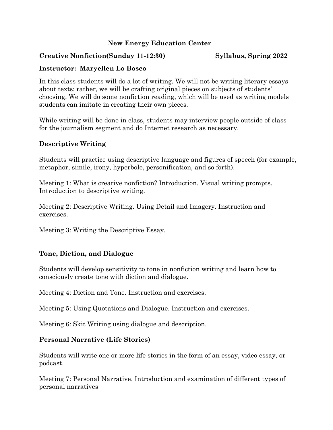# **New Energy Education Center**

## **Creative Nonfiction(Sunday 11-12:30) Syllabus, Spring 2022**

# **Instructor: Maryellen Lo Bosco**

In this class students will do a lot of writing. We will not be writing literary essays about texts; rather, we will be crafting original pieces on subjects of students' choosing. We will do some nonfiction reading, which will be used as writing models students can imitate in creating their own pieces.

While writing will be done in class, students may interview people outside of class for the journalism segment and do Internet research as necessary.

### **Descriptive Writing**

Students will practice using descriptive language and figures of speech (for example, metaphor, simile, irony, hyperbole, personification, and so forth).

Meeting 1: What is creative nonfiction? Introduction. Visual writing prompts. Introduction to descriptive writing.

Meeting 2: Descriptive Writing. Using Detail and Imagery. Instruction and exercises.

Meeting 3: Writing the Descriptive Essay.

# **Tone, Diction, and Dialogue**

Students will develop sensitivity to tone in nonfiction writing and learn how to consciously create tone with diction and dialogue.

Meeting 4: Diction and Tone. Instruction and exercises.

Meeting 5: Using Quotations and Dialogue. Instruction and exercises.

Meeting 6: Skit Writing using dialogue and description.

### **Personal Narrative (Life Stories)**

Students will write one or more life stories in the form of an essay, video essay, or podcast.

Meeting 7: Personal Narrative. Introduction and examination of different types of personal narratives